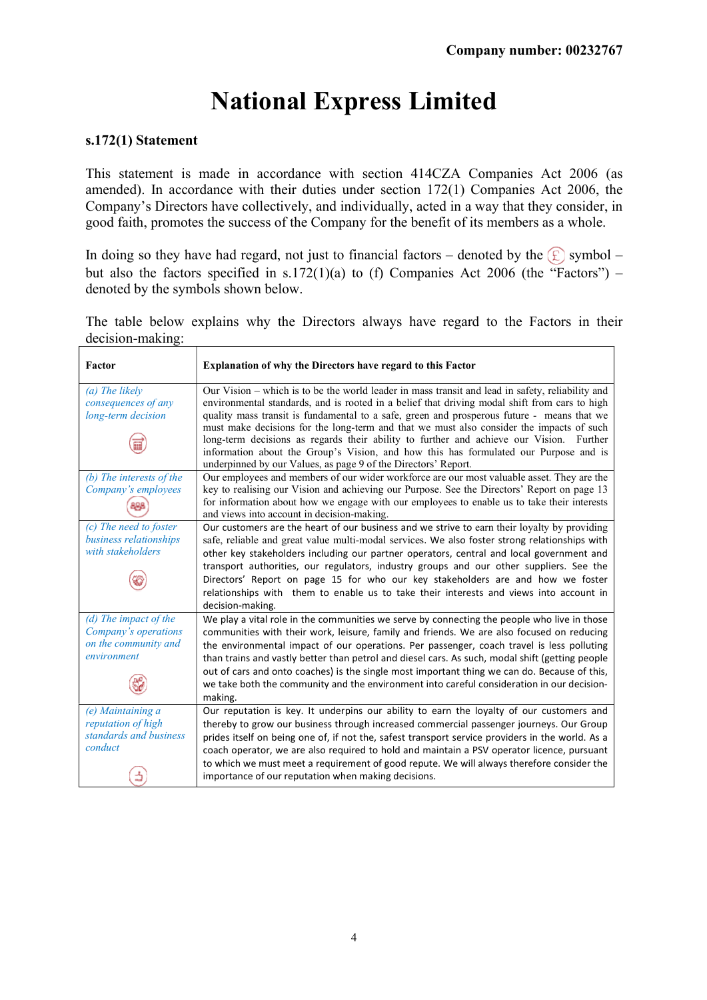## National Express Limited

## s.172(1) Statement

This statement is made in accordance with section 414CZA Companies Act 2006 (as amended). In accordance with their duties under section 172(1) Companies Act 2006, the Company's Directors have collectively, and individually, acted in a way that they consider, in good faith, promotes the success of the Company for the benefit of its members as a whole.

In doing so they have had regard, not just to financial factors – denoted by the  $\circled{E}$  symbol – but also the factors specified in s.172(1)(a) to (f) Companies Act 2006 (the "Factors") – denoted by the symbols shown below.

The table below explains why the Directors always have regard to the Factors in their decision-making:

| Factor                                                                               | Explanation of why the Directors have regard to this Factor                                                                                                                                                                                                                                                                                                                                                                                                                                                                                                                                                                                      |  |  |
|--------------------------------------------------------------------------------------|--------------------------------------------------------------------------------------------------------------------------------------------------------------------------------------------------------------------------------------------------------------------------------------------------------------------------------------------------------------------------------------------------------------------------------------------------------------------------------------------------------------------------------------------------------------------------------------------------------------------------------------------------|--|--|
| (a) The likely<br>consequences of any<br>long-term decision                          | Our Vision - which is to be the world leader in mass transit and lead in safety, reliability and<br>environmental standards, and is rooted in a belief that driving modal shift from cars to high<br>quality mass transit is fundamental to a safe, green and prosperous future - means that we<br>must make decisions for the long-term and that we must also consider the impacts of such<br>long-term decisions as regards their ability to further and achieve our Vision. Further<br>information about the Group's Vision, and how this has formulated our Purpose and is<br>underpinned by our Values, as page 9 of the Directors' Report. |  |  |
| (b) The interests of the<br>Company's employees                                      | Our employees and members of our wider workforce are our most valuable asset. They are the<br>key to realising our Vision and achieving our Purpose. See the Directors' Report on page 13<br>for information about how we engage with our employees to enable us to take their interests<br>and views into account in decision-making.                                                                                                                                                                                                                                                                                                           |  |  |
| (c) The need to foster<br>business relationships<br>with stakeholders                | Our customers are the heart of our business and we strive to earn their loyalty by providing<br>safe, reliable and great value multi-modal services. We also foster strong relationships with<br>other key stakeholders including our partner operators, central and local government and<br>transport authorities, our regulators, industry groups and our other suppliers. See the<br>Directors' Report on page 15 for who our key stakeholders are and how we foster<br>relationships with them to enable us to take their interests and views into account in<br>decision-making.                                                            |  |  |
| (d) The impact of the<br>Company's operations<br>on the community and<br>environment | We play a vital role in the communities we serve by connecting the people who live in those<br>communities with their work, leisure, family and friends. We are also focused on reducing<br>the environmental impact of our operations. Per passenger, coach travel is less polluting<br>than trains and vastly better than petrol and diesel cars. As such, modal shift (getting people<br>out of cars and onto coaches) is the single most important thing we can do. Because of this,<br>we take both the community and the environment into careful consideration in our decision-<br>making.                                                |  |  |
| (e) Maintaining a<br>reputation of high<br>standards and business<br>conduct         | Our reputation is key. It underpins our ability to earn the loyalty of our customers and<br>thereby to grow our business through increased commercial passenger journeys. Our Group<br>prides itself on being one of, if not the, safest transport service providers in the world. As a<br>coach operator, we are also required to hold and maintain a PSV operator licence, pursuant<br>to which we must meet a requirement of good repute. We will always therefore consider the<br>importance of our reputation when making decisions.                                                                                                        |  |  |